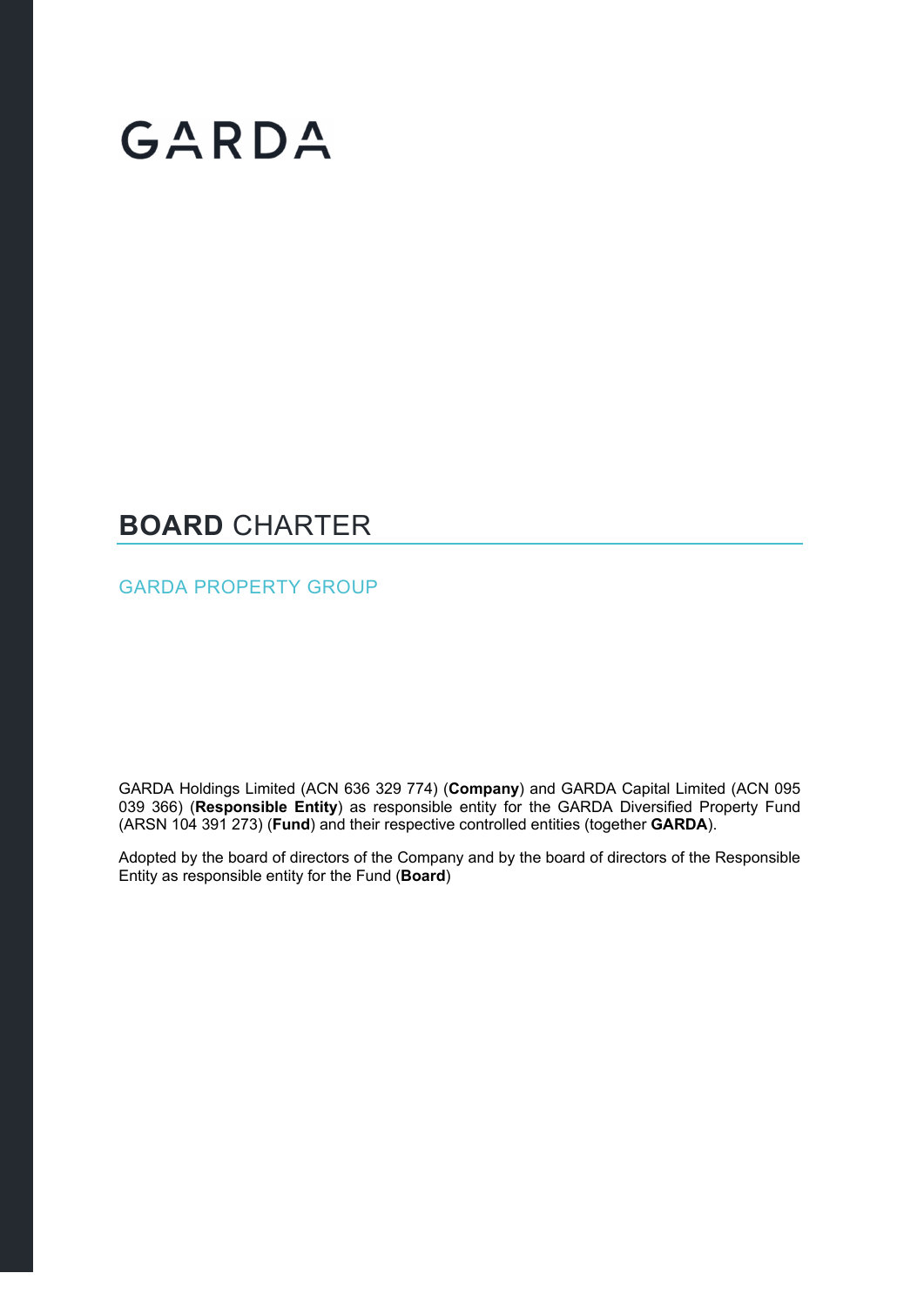# GARDA

### **BOARD** CHARTER

GARDA PROPERTY GROUP

GARDA Holdings Limited (ACN 636 329 774) (**Company**) and GARDA Capital Limited (ACN 095 039 366) (**Responsible Entity**) as responsible entity for the GARDA Diversified Property Fund (ARSN 104 391 273) (**Fund**) and their respective controlled entities (together **GARDA**).

Adopted by the board of directors of the Company and by the board of directors of the Responsible Entity as responsible entity for the Fund (**Board**)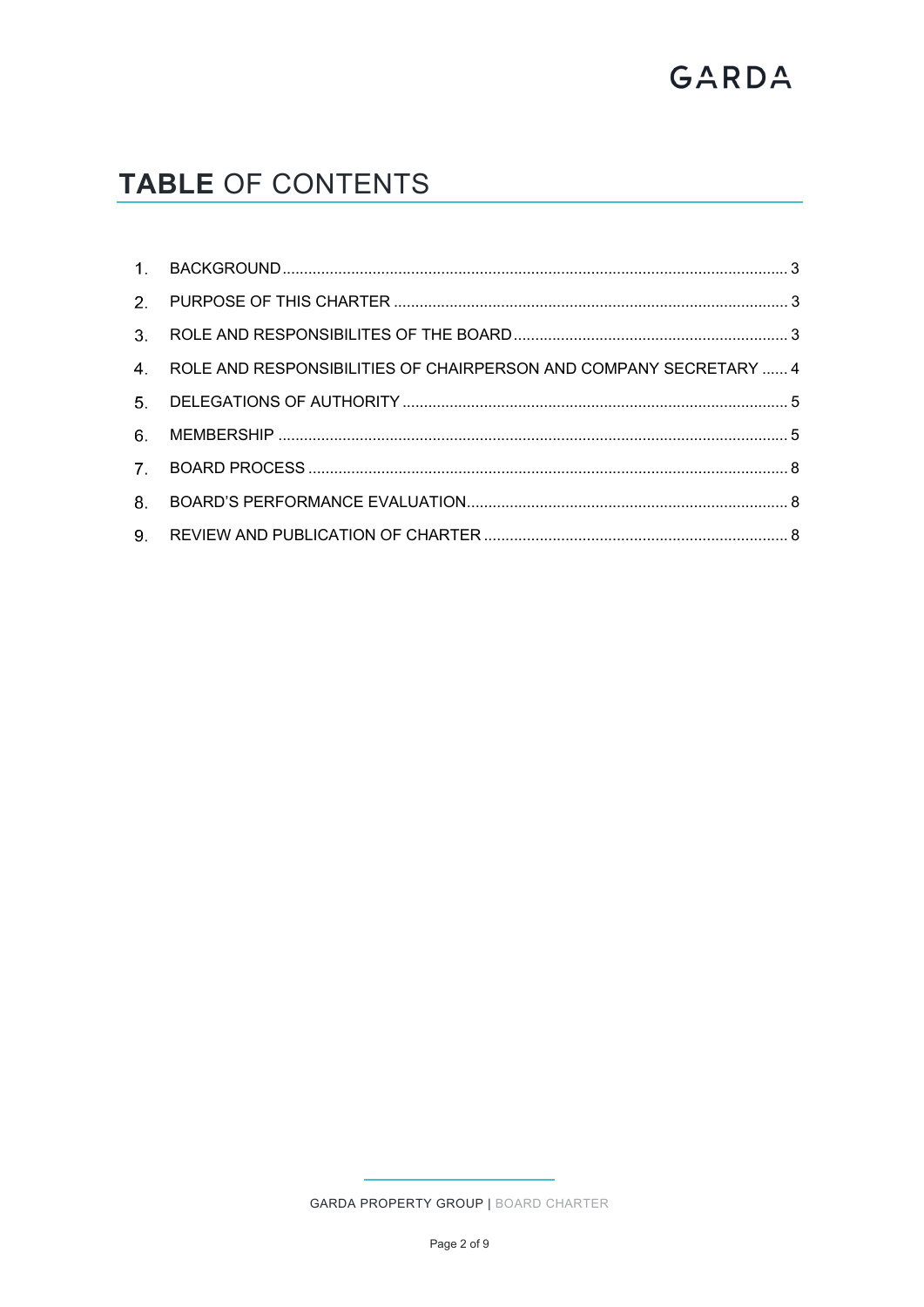## GARDA

### TABLE OF CONTENTS

| 4. ROLE AND RESPONSIBILITIES OF CHAIRPERSON AND COMPANY SECRETARY  4 |  |
|----------------------------------------------------------------------|--|
|                                                                      |  |
|                                                                      |  |
|                                                                      |  |
|                                                                      |  |
|                                                                      |  |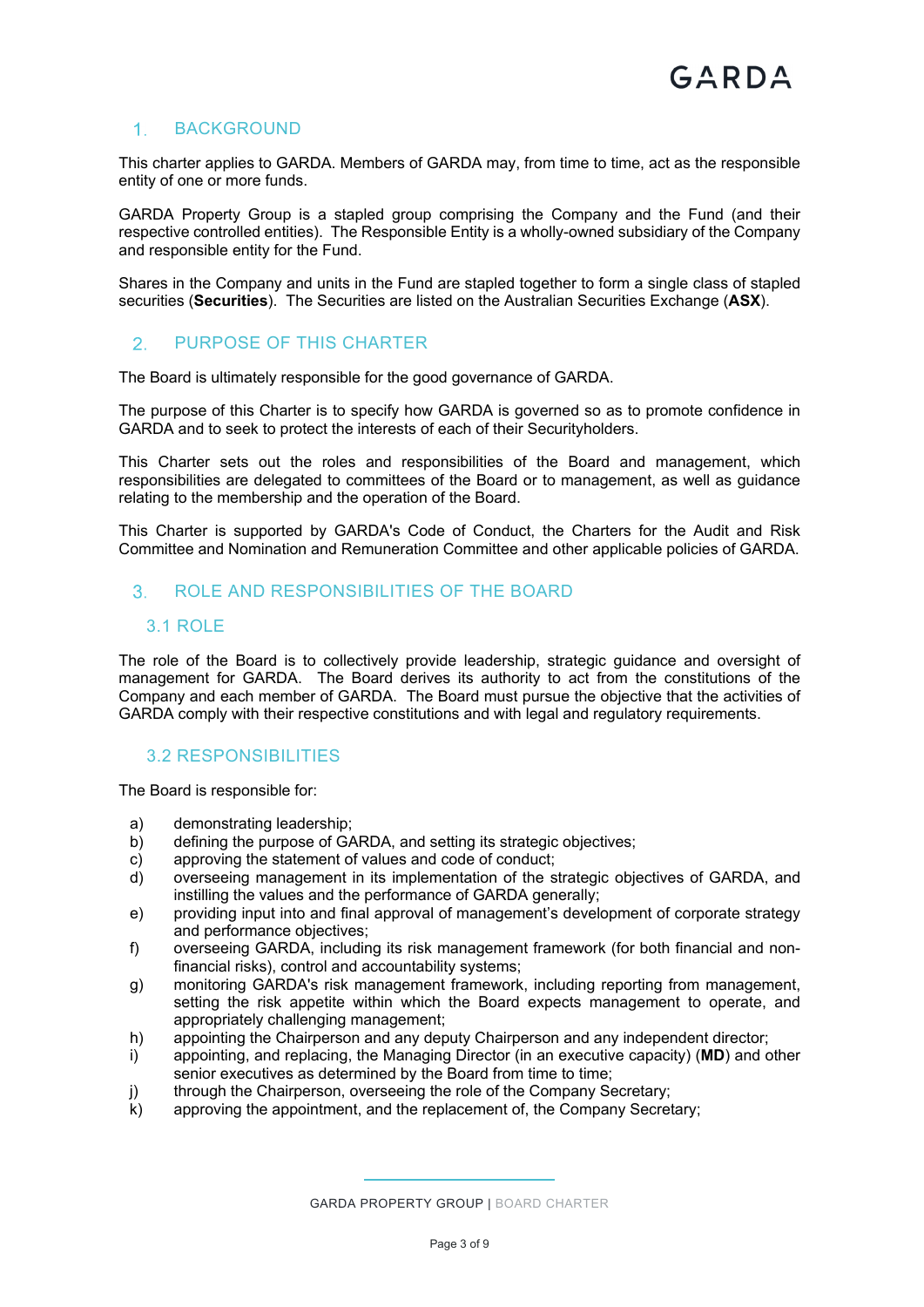#### 1. BACKGROUND

This charter applies to GARDA. Members of GARDA may, from time to time, act as the responsible entity of one or more funds.

GARDA Property Group is a stapled group comprising the Company and the Fund (and their respective controlled entities). The Responsible Entity is a wholly-owned subsidiary of the Company and responsible entity for the Fund.

Shares in the Company and units in the Fund are stapled together to form a single class of stapled securities (**Securities**). The Securities are listed on the Australian Securities Exchange (**ASX**).

#### PURPOSE OF THIS CHARTER

The Board is ultimately responsible for the good governance of GARDA.

The purpose of this Charter is to specify how GARDA is governed so as to promote confidence in GARDA and to seek to protect the interests of each of their Securityholders.

This Charter sets out the roles and responsibilities of the Board and management, which responsibilities are delegated to committees of the Board or to management, as well as guidance relating to the membership and the operation of the Board.

This Charter is supported by GARDA's Code of Conduct, the Charters for the Audit and Risk Committee and Nomination and Remuneration Committee and other applicable policies of GARDA.

#### ROLE AND RESPONSIBILITIES OF THE BOARD

#### 3.1 ROLE

The role of the Board is to collectively provide leadership, strategic guidance and oversight of management for GARDA. The Board derives its authority to act from the constitutions of the Company and each member of GARDA. The Board must pursue the objective that the activities of GARDA comply with their respective constitutions and with legal and regulatory requirements.

#### 3.2 RESPONSIBILITIES

The Board is responsible for:

- a) demonstrating leadership;
- b) defining the purpose of GARDA, and setting its strategic objectives;
- c) approving the statement of values and code of conduct;
- d) overseeing management in its implementation of the strategic objectives of GARDA, and instilling the values and the performance of GARDA generally;
- e) providing input into and final approval of management's development of corporate strategy and performance objectives;
- f) overseeing GARDA, including its risk management framework (for both financial and nonfinancial risks), control and accountability systems;
- g) monitoring GARDA's risk management framework, including reporting from management, setting the risk appetite within which the Board expects management to operate, and appropriately challenging management;
- h) appointing the Chairperson and any deputy Chairperson and any independent director;
- i) appointing, and replacing, the Managing Director (in an executive capacity) (**MD**) and other senior executives as determined by the Board from time to time;
- j) through the Chairperson, overseeing the role of the Company Secretary;
- k) approving the appointment, and the replacement of, the Company Secretary;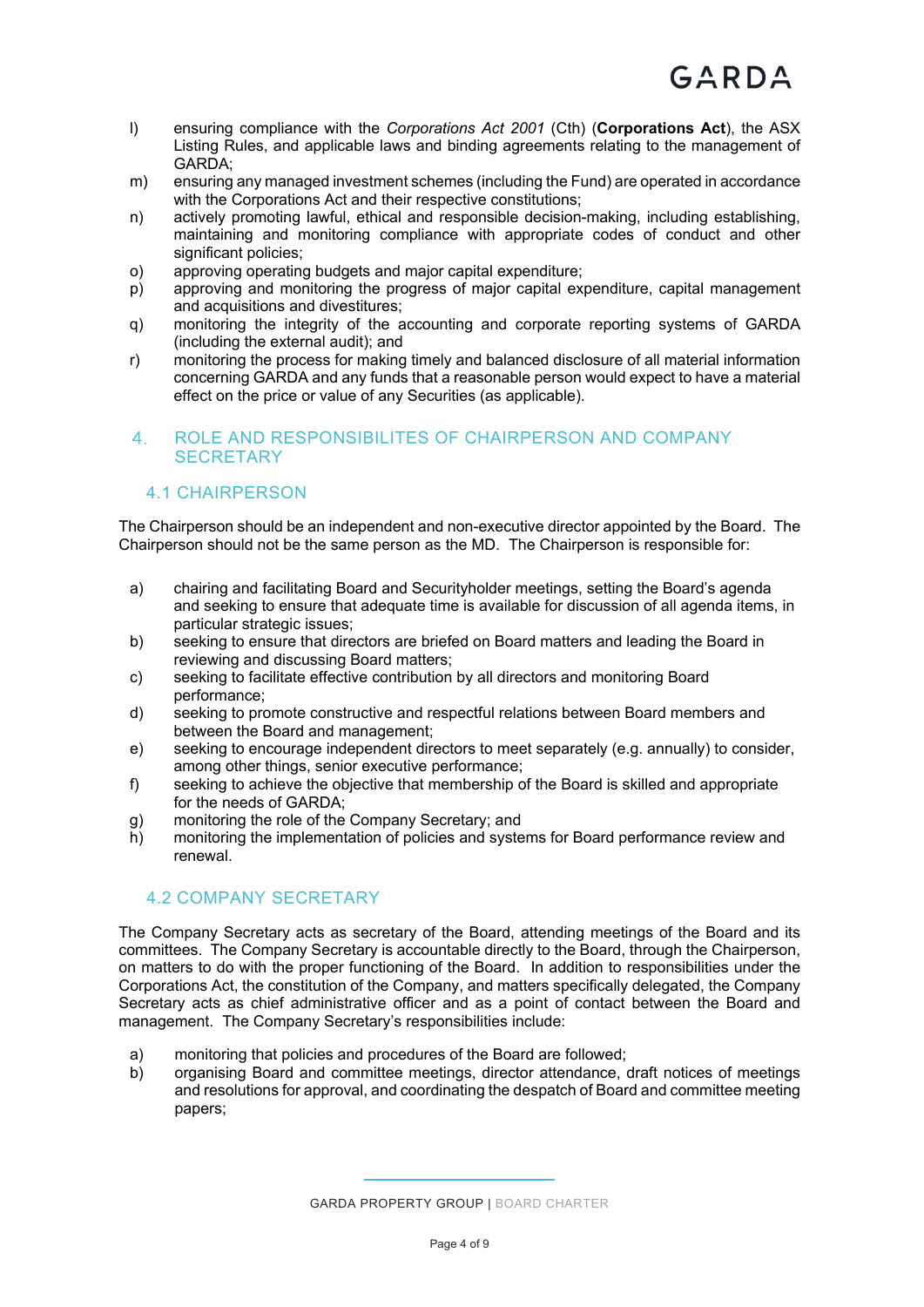- l) ensuring compliance with the *Corporations Act 2001* (Cth) (**Corporations Act**), the ASX Listing Rules, and applicable laws and binding agreements relating to the management of GARDA;
- m) ensuring any managed investment schemes (including the Fund) are operated in accordance with the Corporations Act and their respective constitutions;
- n) actively promoting lawful, ethical and responsible decision-making, including establishing, maintaining and monitoring compliance with appropriate codes of conduct and other significant policies:
- o) approving operating budgets and major capital expenditure;
- p) approving and monitoring the progress of major capital expenditure, capital management and acquisitions and divestitures;
- q) monitoring the integrity of the accounting and corporate reporting systems of GARDA (including the external audit); and
- r) monitoring the process for making timely and balanced disclosure of all material information concerning GARDA and any funds that a reasonable person would expect to have a material effect on the price or value of any Securities (as applicable).

#### ROLE AND RESPONSIBILITES OF CHAIRPERSON AND COMPANY **SECRETARY**

#### 4.1 CHAIRPERSON

The Chairperson should be an independent and non-executive director appointed by the Board. The Chairperson should not be the same person as the MD. The Chairperson is responsible for:

- a) chairing and facilitating Board and Securityholder meetings, setting the Board's agenda and seeking to ensure that adequate time is available for discussion of all agenda items, in particular strategic issues;
- b) seeking to ensure that directors are briefed on Board matters and leading the Board in reviewing and discussing Board matters;
- c) seeking to facilitate effective contribution by all directors and monitoring Board performance;
- d) seeking to promote constructive and respectful relations between Board members and between the Board and management;
- e) seeking to encourage independent directors to meet separately (e.g. annually) to consider, among other things, senior executive performance;
- f) seeking to achieve the objective that membership of the Board is skilled and appropriate for the needs of GARDA;
- g) monitoring the role of the Company Secretary; and
- h) monitoring the implementation of policies and systems for Board performance review and renewal.

#### 4.2 COMPANY SECRETARY

The Company Secretary acts as secretary of the Board, attending meetings of the Board and its committees. The Company Secretary is accountable directly to the Board, through the Chairperson, on matters to do with the proper functioning of the Board. In addition to responsibilities under the Corporations Act, the constitution of the Company, and matters specifically delegated, the Company Secretary acts as chief administrative officer and as a point of contact between the Board and management. The Company Secretary's responsibilities include:

- a) monitoring that policies and procedures of the Board are followed;
- b) organising Board and committee meetings, director attendance, draft notices of meetings and resolutions for approval, and coordinating the despatch of Board and committee meeting papers;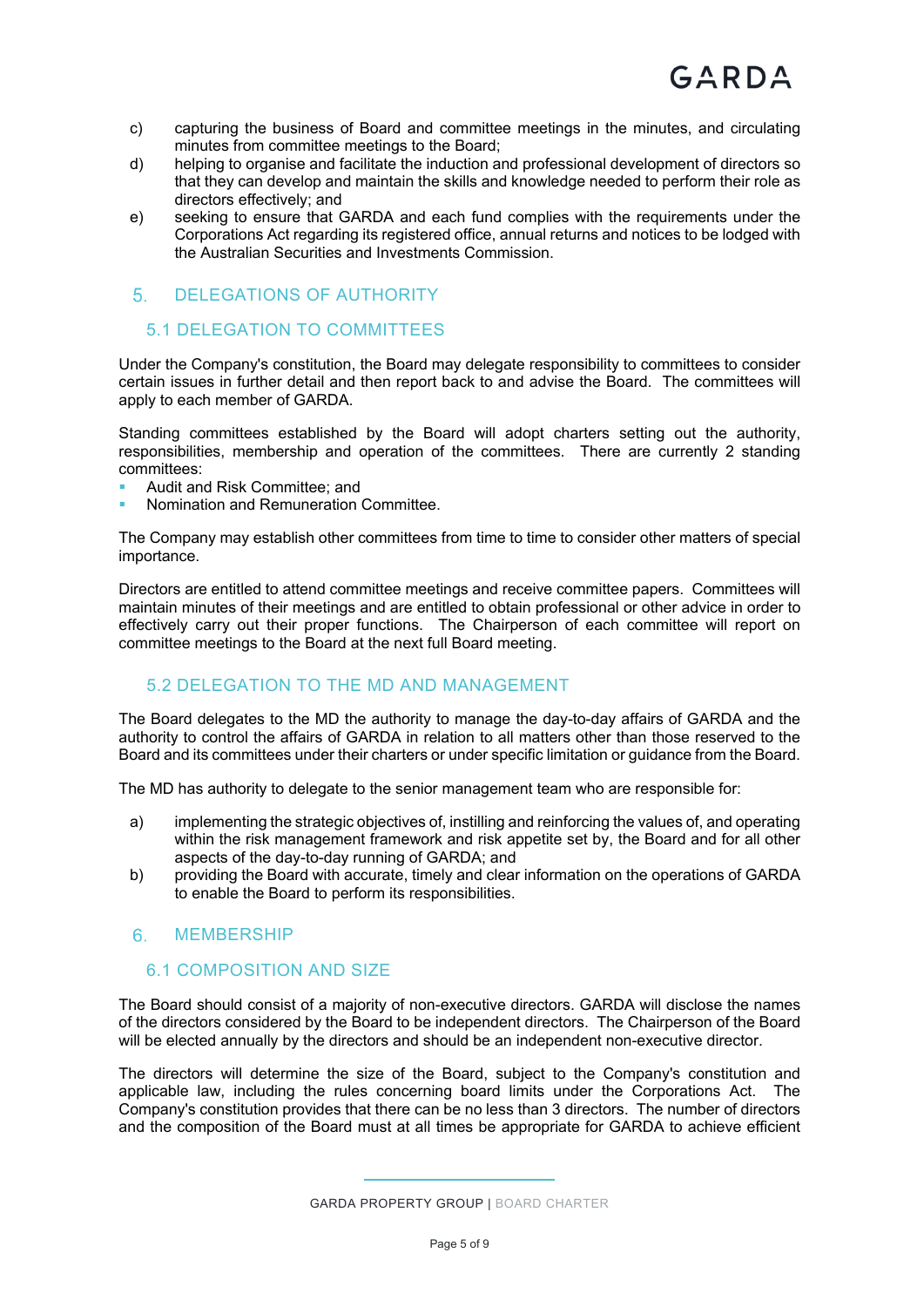- c) capturing the business of Board and committee meetings in the minutes, and circulating minutes from committee meetings to the Board;
- d) helping to organise and facilitate the induction and professional development of directors so that they can develop and maintain the skills and knowledge needed to perform their role as directors effectively; and
- e) seeking to ensure that GARDA and each fund complies with the requirements under the Corporations Act regarding its registered office, annual returns and notices to be lodged with the Australian Securities and Investments Commission.

#### 5. DELEGATIONS OF AUTHORITY

#### 5.1 DELEGATION TO COMMITTEES

Under the Company's constitution, the Board may delegate responsibility to committees to consider certain issues in further detail and then report back to and advise the Board. The committees will apply to each member of GARDA.

Standing committees established by the Board will adopt charters setting out the authority, responsibilities, membership and operation of the committees. There are currently 2 standing committees:

- Audit and Risk Committee; and
- Nomination and Remuneration Committee.

The Company may establish other committees from time to time to consider other matters of special importance.

Directors are entitled to attend committee meetings and receive committee papers. Committees will maintain minutes of their meetings and are entitled to obtain professional or other advice in order to effectively carry out their proper functions. The Chairperson of each committee will report on committee meetings to the Board at the next full Board meeting.

#### 5.2 DELEGATION TO THE MD AND MANAGEMENT

The Board delegates to the MD the authority to manage the day-to-day affairs of GARDA and the authority to control the affairs of GARDA in relation to all matters other than those reserved to the Board and its committees under their charters or under specific limitation or guidance from the Board.

The MD has authority to delegate to the senior management team who are responsible for:

- a) implementing the strategic objectives of, instilling and reinforcing the values of, and operating within the risk management framework and risk appetite set by, the Board and for all other aspects of the day-to-day running of GARDA; and
- b) providing the Board with accurate, timely and clear information on the operations of GARDA to enable the Board to perform its responsibilities.

#### 6. MEMBERSHIP

#### 6.1 COMPOSITION AND SIZE

The Board should consist of a majority of non-executive directors. GARDA will disclose the names of the directors considered by the Board to be independent directors. The Chairperson of the Board will be elected annually by the directors and should be an independent non-executive director.

The directors will determine the size of the Board, subject to the Company's constitution and applicable law, including the rules concerning board limits under the Corporations Act. The Company's constitution provides that there can be no less than 3 directors. The number of directors and the composition of the Board must at all times be appropriate for GARDA to achieve efficient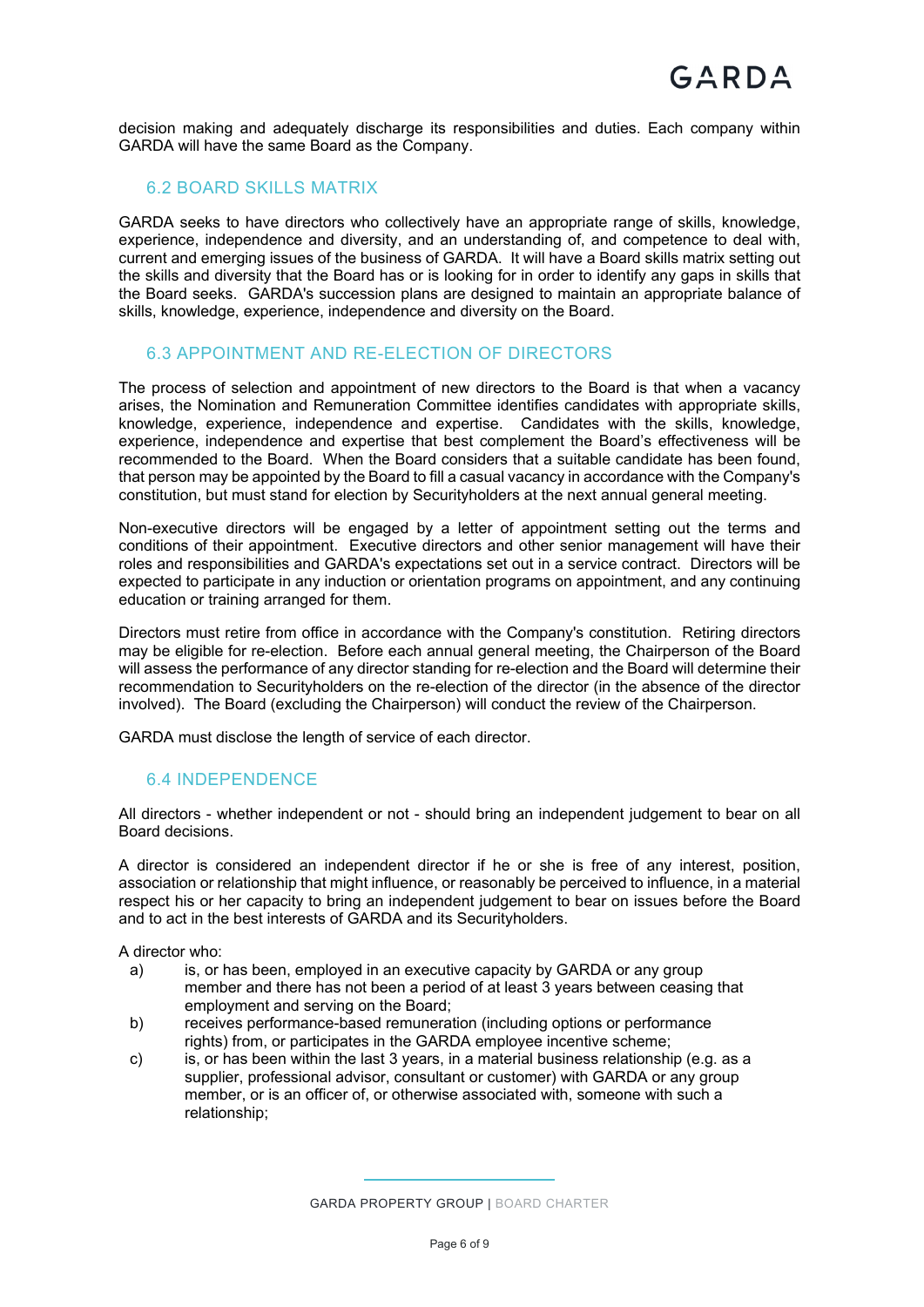decision making and adequately discharge its responsibilities and duties. Each company within GARDA will have the same Board as the Company.

#### 6.2 BOARD SKILLS MATRIX

GARDA seeks to have directors who collectively have an appropriate range of skills, knowledge, experience, independence and diversity, and an understanding of, and competence to deal with, current and emerging issues of the business of GARDA. It will have a Board skills matrix setting out the skills and diversity that the Board has or is looking for in order to identify any gaps in skills that the Board seeks. GARDA's succession plans are designed to maintain an appropriate balance of skills, knowledge, experience, independence and diversity on the Board.

#### 6.3 APPOINTMENT AND RE-ELECTION OF DIRECTORS

The process of selection and appointment of new directors to the Board is that when a vacancy arises, the Nomination and Remuneration Committee identifies candidates with appropriate skills, knowledge, experience, independence and expertise. Candidates with the skills, knowledge, experience, independence and expertise that best complement the Board's effectiveness will be recommended to the Board. When the Board considers that a suitable candidate has been found, that person may be appointed by the Board to fill a casual vacancy in accordance with the Company's constitution, but must stand for election by Securityholders at the next annual general meeting.

Non-executive directors will be engaged by a letter of appointment setting out the terms and conditions of their appointment. Executive directors and other senior management will have their roles and responsibilities and GARDA's expectations set out in a service contract. Directors will be expected to participate in any induction or orientation programs on appointment, and any continuing education or training arranged for them.

Directors must retire from office in accordance with the Company's constitution. Retiring directors may be eligible for re-election. Before each annual general meeting, the Chairperson of the Board will assess the performance of any director standing for re-election and the Board will determine their recommendation to Securityholders on the re-election of the director (in the absence of the director involved). The Board (excluding the Chairperson) will conduct the review of the Chairperson.

GARDA must disclose the length of service of each director.

#### 6.4 INDEPENDENCE

All directors - whether independent or not - should bring an independent judgement to bear on all Board decisions.

A director is considered an independent director if he or she is free of any interest, position, association or relationship that might influence, or reasonably be perceived to influence, in a material respect his or her capacity to bring an independent judgement to bear on issues before the Board and to act in the best interests of GARDA and its Securityholders.

A director who:

- a) is, or has been, employed in an executive capacity by GARDA or any group member and there has not been a period of at least 3 years between ceasing that employment and serving on the Board;
- b) receives performance-based remuneration (including options or performance rights) from, or participates in the GARDA employee incentive scheme;
- c) is, or has been within the last 3 years, in a material business relationship (e.g. as a supplier, professional advisor, consultant or customer) with GARDA or any group member, or is an officer of, or otherwise associated with, someone with such a relationship;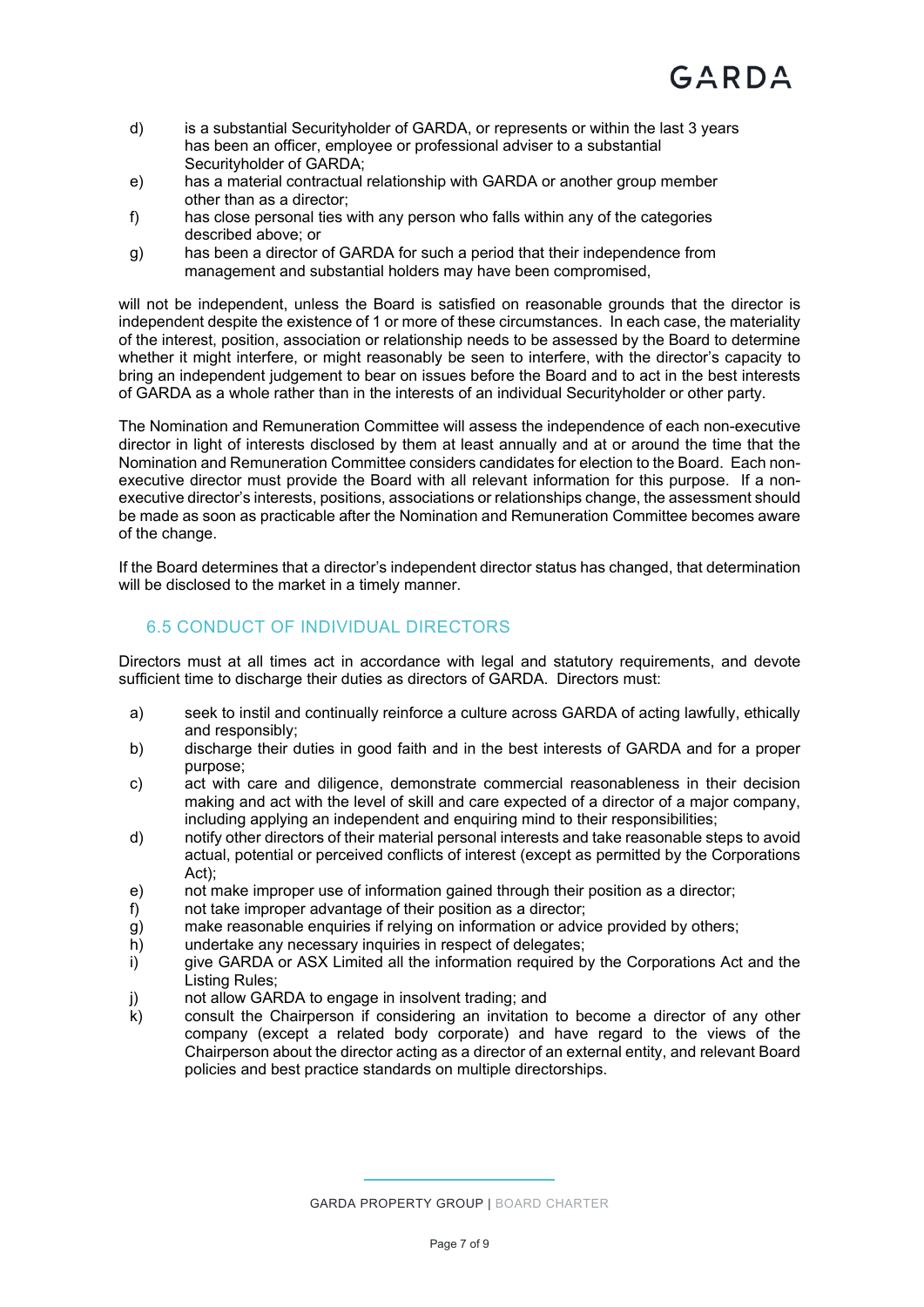- d) is a substantial Securityholder of GARDA, or represents or within the last 3 years has been an officer, employee or professional adviser to a substantial Securityholder of GARDA;
- e) has a material contractual relationship with GARDA or another group member other than as a director;
- f) has close personal ties with any person who falls within any of the categories described above; or
- g) has been a director of GARDA for such a period that their independence from management and substantial holders may have been compromised,

will not be independent, unless the Board is satisfied on reasonable grounds that the director is independent despite the existence of 1 or more of these circumstances. In each case, the materiality of the interest, position, association or relationship needs to be assessed by the Board to determine whether it might interfere, or might reasonably be seen to interfere, with the director's capacity to bring an independent judgement to bear on issues before the Board and to act in the best interests of GARDA as a whole rather than in the interests of an individual Securityholder or other party.

The Nomination and Remuneration Committee will assess the independence of each non-executive director in light of interests disclosed by them at least annually and at or around the time that the Nomination and Remuneration Committee considers candidates for election to the Board. Each nonexecutive director must provide the Board with all relevant information for this purpose. If a nonexecutive director's interests, positions, associations or relationships change, the assessment should be made as soon as practicable after the Nomination and Remuneration Committee becomes aware of the change.

If the Board determines that a director's independent director status has changed, that determination will be disclosed to the market in a timely manner.

#### 6.5 CONDUCT OF INDIVIDUAL DIRECTORS

Directors must at all times act in accordance with legal and statutory requirements, and devote sufficient time to discharge their duties as directors of GARDA. Directors must:

- a) seek to instil and continually reinforce a culture across GARDA of acting lawfully, ethically and responsibly;
- b) discharge their duties in good faith and in the best interests of GARDA and for a proper purpose;
- c) act with care and diligence, demonstrate commercial reasonableness in their decision making and act with the level of skill and care expected of a director of a major company, including applying an independent and enquiring mind to their responsibilities;
- d) notify other directors of their material personal interests and take reasonable steps to avoid actual, potential or perceived conflicts of interest (except as permitted by the Corporations Act);
- e) not make improper use of information gained through their position as a director;
- f) not take improper advantage of their position as a director;
- g) make reasonable enquiries if relying on information or advice provided by others;
- h) undertake any necessary inquiries in respect of delegates;
- i) give GARDA or ASX Limited all the information required by the Corporations Act and the Listing Rules;
- j) not allow GARDA to engage in insolvent trading; and
- k) consult the Chairperson if considering an invitation to become a director of any other company (except a related body corporate) and have regard to the views of the Chairperson about the director acting as a director of an external entity, and relevant Board policies and best practice standards on multiple directorships.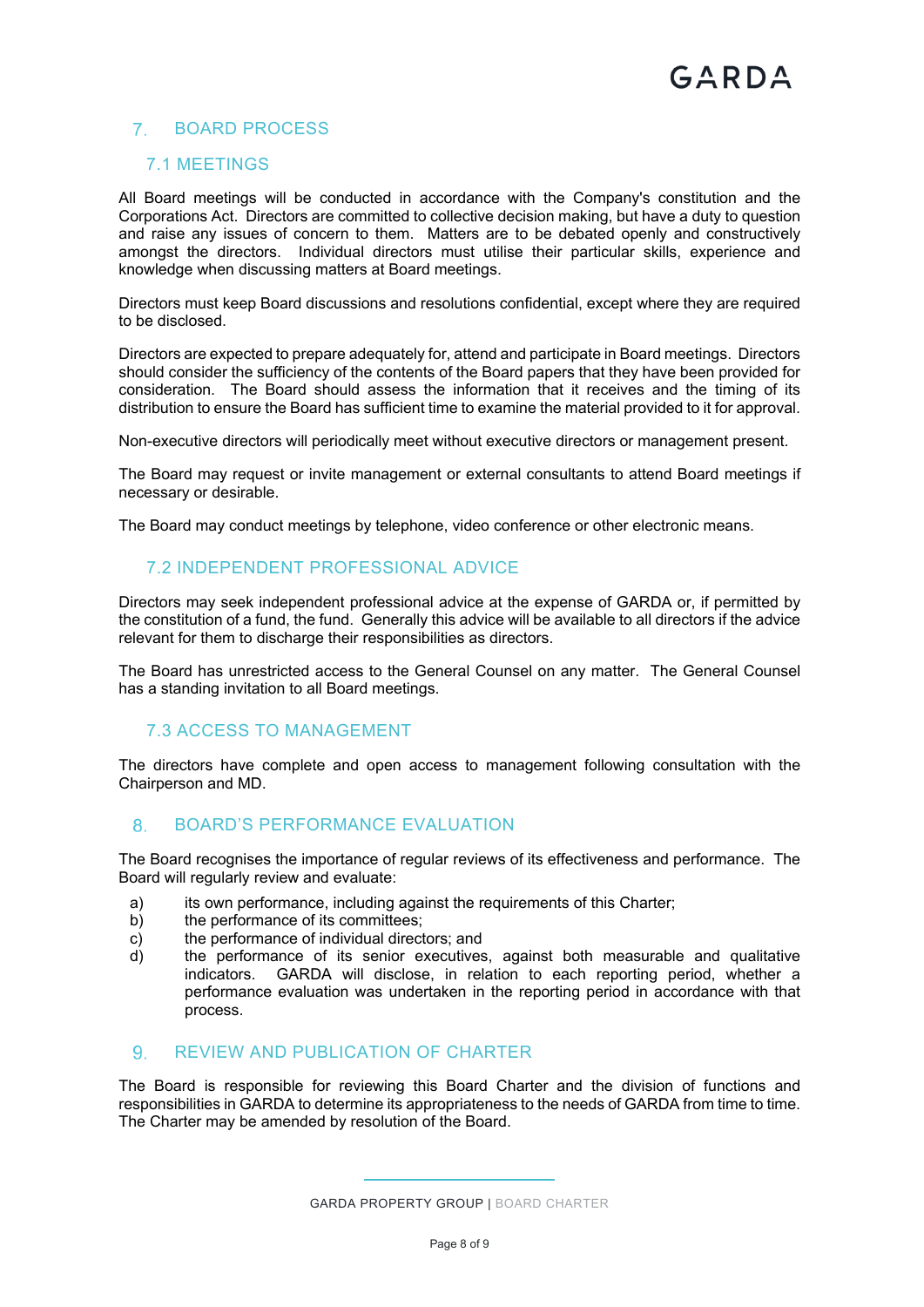#### BOARD PROCESS

#### 7.1 MEETINGS

All Board meetings will be conducted in accordance with the Company's constitution and the Corporations Act. Directors are committed to collective decision making, but have a duty to question and raise any issues of concern to them. Matters are to be debated openly and constructively amongst the directors. Individual directors must utilise their particular skills, experience and knowledge when discussing matters at Board meetings.

Directors must keep Board discussions and resolutions confidential, except where they are required to be disclosed.

Directors are expected to prepare adequately for, attend and participate in Board meetings. Directors should consider the sufficiency of the contents of the Board papers that they have been provided for consideration. The Board should assess the information that it receives and the timing of its distribution to ensure the Board has sufficient time to examine the material provided to it for approval.

Non-executive directors will periodically meet without executive directors or management present.

The Board may request or invite management or external consultants to attend Board meetings if necessary or desirable.

The Board may conduct meetings by telephone, video conference or other electronic means.

#### 7.2 INDEPENDENT PROFESSIONAL ADVICE

Directors may seek independent professional advice at the expense of GARDA or, if permitted by the constitution of a fund, the fund. Generally this advice will be available to all directors if the advice relevant for them to discharge their responsibilities as directors.

The Board has unrestricted access to the General Counsel on any matter. The General Counsel has a standing invitation to all Board meetings.

#### 7.3 ACCESS TO MANAGEMENT

The directors have complete and open access to management following consultation with the Chairperson and MD.

#### 8. BOARD'S PERFORMANCE EVALUATION

The Board recognises the importance of regular reviews of its effectiveness and performance. The Board will regularly review and evaluate:

- a) its own performance, including against the requirements of this Charter;
- b) the performance of its committees;
- c) the performance of individual directors; and
- d) the performance of its senior executives, against both measurable and qualitative indicators. GARDA will disclose, in relation to each reporting period, whether a performance evaluation was undertaken in the reporting period in accordance with that process.

#### REVIEW AND PUBLICATION OF CHARTER

The Board is responsible for reviewing this Board Charter and the division of functions and responsibilities in GARDA to determine its appropriateness to the needs of GARDA from time to time. The Charter may be amended by resolution of the Board.